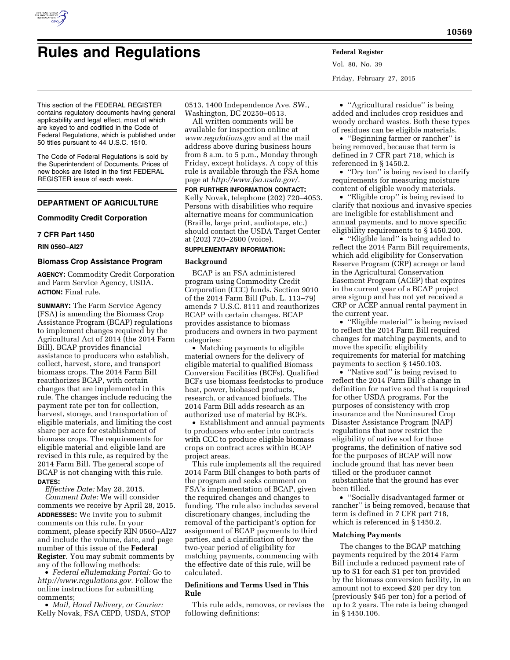

# **Rules and Regulations Federal Register**

Vol. 80, No. 39 Friday, February 27, 2015

This section of the FEDERAL REGISTER contains regulatory documents having general applicability and legal effect, most of which are keyed to and codified in the Code of Federal Regulations, which is published under 50 titles pursuant to 44 U.S.C. 1510.

The Code of Federal Regulations is sold by the Superintendent of Documents. Prices of new books are listed in the first FEDERAL REGISTER issue of each week.

# **DEPARTMENT OF AGRICULTURE**

## **Commodity Credit Corporation**

# **7 CFR Part 1450**

**RIN 0560–AI27** 

# **Biomass Crop Assistance Program**

**AGENCY:** Commodity Credit Corporation and Farm Service Agency, USDA. **ACTION:** Final rule.

**SUMMARY:** The Farm Service Agency (FSA) is amending the Biomass Crop Assistance Program (BCAP) regulations to implement changes required by the Agricultural Act of 2014 (the 2014 Farm Bill). BCAP provides financial assistance to producers who establish, collect, harvest, store, and transport biomass crops. The 2014 Farm Bill reauthorizes BCAP, with certain changes that are implemented in this rule. The changes include reducing the payment rate per ton for collection, harvest, storage, and transportation of eligible materials, and limiting the cost share per acre for establishment of biomass crops. The requirements for eligible material and eligible land are revised in this rule, as required by the 2014 Farm Bill. The general scope of BCAP is not changing with this rule. **DATES:** 

*Effective Date:* May 28, 2015.

*Comment Date:* We will consider comments we receive by April 28, 2015. **ADDRESSES:** We invite you to submit comments on this rule. In your comment, please specify RIN 0560–AI27 and include the volume, date, and page number of this issue of the **Federal Register**. You may submit comments by any of the following methods:

• *Federal eRulemaking Portal:* Go to *[http://www.regulations.gov.](http://www.regulations.gov)* Follow the online instructions for submitting comments;

• *Mail, Hand Delivery, or Courier:*  Kelly Novak, FSA CEPD, USDA, STOP 0513, 1400 Independence Ave. SW., Washington, DC 20250–0513.

All written comments will be available for inspection online at *[www.regulations.gov](http://www.regulations.gov)* and at the mail address above during business hours from 8 a.m. to 5 p.m., Monday through Friday, except holidays. A copy of this rule is available through the FSA home page at *[http://www.fsa.usda.gov/.](http://www.fsa.usda.gov/)* 

**FOR FURTHER INFORMATION CONTACT:**  Kelly Novak, telephone (202) 720–4053. Persons with disabilities who require alternative means for communication (Braille, large print, audiotape, etc.) should contact the USDA Target Center at (202) 720–2600 (voice).

# **SUPPLEMENTARY INFORMATION:**

## **Background**

BCAP is an FSA administered program using Commodity Credit Corporation (CCC) funds. Section 9010 of the 2014 Farm Bill (Pub. L. 113–79) amends 7 U.S.C. 8111 and reauthorizes BCAP with certain changes. BCAP provides assistance to biomass producers and owners in two payment categories:

• Matching payments to eligible material owners for the delivery of eligible material to qualified Biomass Conversion Facilities (BCFs). Qualified BCFs use biomass feedstocks to produce heat, power, biobased products, research, or advanced biofuels. The 2014 Farm Bill adds research as an authorized use of material by BCFs.

• Establishment and annual payments to producers who enter into contracts with CCC to produce eligible biomass crops on contract acres within BCAP project areas.

This rule implements all the required 2014 Farm Bill changes to both parts of the program and seeks comment on FSA's implementation of BCAP, given the required changes and changes to funding. The rule also includes several discretionary changes, including the removal of the participant's option for assignment of BCAP payments to third parties, and a clarification of how the two-year period of eligibility for matching payments, commencing with the effective date of this rule, will be calculated.

# **Definitions and Terms Used in This Rule**

This rule adds, removes, or revises the following definitions:

• "Agricultural residue" is being added and includes crop residues and woody orchard wastes. Both these types of residues can be eligible materials.

• ''Beginning farmer or rancher'' is being removed, because that term is defined in 7 CFR part 718, which is referenced in § 1450.2.

• ''Dry ton'' is being revised to clarify requirements for measuring moisture content of eligible woody materials.

• ''Eligible crop'' is being revised to clarify that noxious and invasive species are ineligible for establishment and annual payments, and to move specific eligibility requirements to § 1450.200.

• ''Eligible land'' is being added to reflect the 2014 Farm Bill requirements, which add eligibility for Conservation Reserve Program (CRP) acreage or land in the Agricultural Conservation Easement Program (ACEP) that expires in the current year of a BCAP project area signup and has not yet received a CRP or ACEP annual rental payment in the current year.

• ''Eligible material'' is being revised to reflect the 2014 Farm Bill required changes for matching payments, and to move the specific eligibility requirements for material for matching payments to section § 1450.103.

• "Native sod" is being revised to reflect the 2014 Farm Bill's change in definition for native sod that is required for other USDA programs. For the purposes of consistency with crop insurance and the Noninsured Crop Disaster Assistance Program (NAP) regulations that now restrict the eligibility of native sod for those programs, the definition of native sod for the purposes of BCAP will now include ground that has never been tilled or the producer cannot substantiate that the ground has ever been tilled.

• ''Socially disadvantaged farmer or rancher'' is being removed, because that term is defined in 7 CFR part 718, which is referenced in § 1450.2.

## **Matching Payments**

The changes to the BCAP matching payments required by the 2014 Farm Bill include a reduced payment rate of up to \$1 for each \$1 per ton provided by the biomass conversion facility, in an amount not to exceed \$20 per dry ton (previously \$45 per ton) for a period of up to 2 years. The rate is being changed in § 1450.106.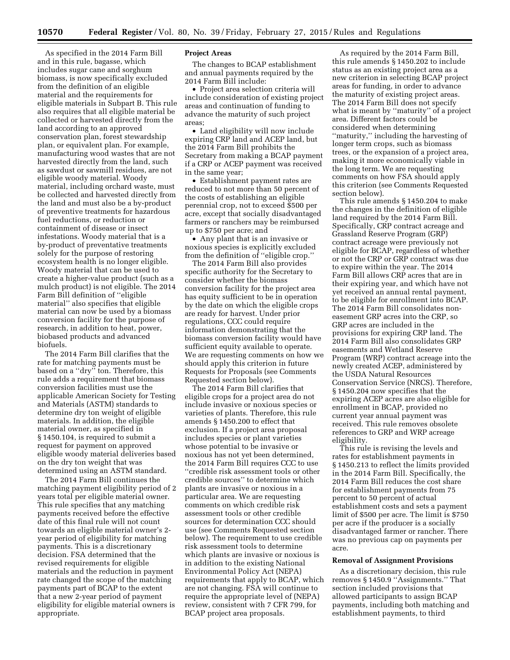As specified in the 2014 Farm Bill and in this rule, bagasse, which includes sugar cane and sorghum biomass, is now specifically excluded from the definition of an eligible material and the requirements for eligible materials in Subpart B. This rule also requires that all eligible material be collected or harvested directly from the land according to an approved conservation plan, forest stewardship plan, or equivalent plan. For example, manufacturing wood wastes that are not harvested directly from the land, such as sawdust or sawmill residues, are not eligible woody material. Woody material, including orchard waste, must be collected and harvested directly from the land and must also be a by-product of preventive treatments for hazardous fuel reductions, or reduction or containment of disease or insect infestations. Woody material that is a by-product of preventative treatments solely for the purpose of restoring ecosystem health is no longer eligible. Woody material that can be used to create a higher-value product (such as a mulch product) is not eligible. The 2014 Farm Bill definition of ''eligible material'' also specifies that eligible material can now be used by a biomass conversion facility for the purpose of research, in addition to heat, power, biobased products and advanced biofuels.

The 2014 Farm Bill clarifies that the rate for matching payments must be based on a ''dry'' ton. Therefore, this rule adds a requirement that biomass conversion facilities must use the applicable American Society for Testing and Materials (ASTM) standards to determine dry ton weight of eligible materials. In addition, the eligible material owner, as specified in § 1450.104, is required to submit a request for payment on approved eligible woody material deliveries based on the dry ton weight that was determined using an ASTM standard.

The 2014 Farm Bill continues the matching payment eligibility period of 2 years total per eligible material owner. This rule specifies that any matching payments received before the effective date of this final rule will not count towards an eligible material owner's 2 year period of eligibility for matching payments. This is a discretionary decision. FSA determined that the revised requirements for eligible materials and the reduction in payment rate changed the scope of the matching payments part of BCAP to the extent that a new 2-year period of payment eligibility for eligible material owners is appropriate.

## **Project Areas**

The changes to BCAP establishment and annual payments required by the 2014 Farm Bill include:

• Project area selection criteria will include consideration of existing project areas and continuation of funding to advance the maturity of such project areas;

• Land eligibility will now include expiring CRP land and ACEP land, but the 2014 Farm Bill prohibits the Secretary from making a BCAP payment if a CRP or ACEP payment was received in the same year;

• Establishment payment rates are reduced to not more than 50 percent of the costs of establishing an eligible perennial crop, not to exceed \$500 per acre, except that socially disadvantaged farmers or ranchers may be reimbursed up to \$750 per acre; and

• Any plant that is an invasive or noxious species is explicitly excluded from the definition of ''eligible crop.''

The 2014 Farm Bill also provides specific authority for the Secretary to consider whether the biomass conversion facility for the project area has equity sufficient to be in operation by the date on which the eligible crops are ready for harvest. Under prior regulations, CCC could require information demonstrating that the biomass conversion facility would have sufficient equity available to operate. We are requesting comments on how we should apply this criterion in future Requests for Proposals (see Comments Requested section below).

The 2014 Farm Bill clarifies that eligible crops for a project area do not include invasive or noxious species or varieties of plants. Therefore, this rule amends § 1450.200 to effect that exclusion. If a project area proposal includes species or plant varieties whose potential to be invasive or noxious has not yet been determined, the 2014 Farm Bill requires CCC to use ''credible risk assessment tools or other credible sources'' to determine which plants are invasive or noxious in a particular area. We are requesting comments on which credible risk assessment tools or other credible sources for determination CCC should use (see Comments Requested section below). The requirement to use credible risk assessment tools to determine which plants are invasive or noxious is in addition to the existing National Environmental Policy Act (NEPA) requirements that apply to BCAP, which are not changing. FSA will continue to require the appropriate level of (NEPA) review, consistent with 7 CFR 799, for BCAP project area proposals.

As required by the 2014 Farm Bill, this rule amends § 1450.202 to include status as an existing project area as a new criterion in selecting BCAP project areas for funding, in order to advance the maturity of existing project areas. The 2014 Farm Bill does not specify what is meant by ''maturity'' of a project area. Different factors could be considered when determining ''maturity,'' including the harvesting of longer term crops, such as biomass trees, or the expansion of a project area, making it more economically viable in the long term. We are requesting comments on how FSA should apply this criterion (see Comments Requested section below).

This rule amends § 1450.204 to make the changes in the definition of eligible land required by the 2014 Farm Bill. Specifically, CRP contract acreage and Grassland Reserve Program (GRP) contract acreage were previously not eligible for BCAP, regardless of whether or not the CRP or GRP contract was due to expire within the year. The 2014 Farm Bill allows CRP acres that are in their expiring year, and which have not yet received an annual rental payment, to be eligible for enrollment into BCAP. The 2014 Farm Bill consolidates noneasement GRP acres into the CRP, so GRP acres are included in the provisions for expiring CRP land. The 2014 Farm Bill also consolidates GRP easements and Wetland Reserve Program (WRP) contract acreage into the newly created ACEP, administered by the USDA Natural Resources Conservation Service (NRCS). Therefore, § 1450.204 now specifies that the expiring ACEP acres are also eligible for enrollment in BCAP, provided no current year annual payment was received. This rule removes obsolete references to GRP and WRP acreage eligibility.

This rule is revising the levels and rates for establishment payments in § 1450.213 to reflect the limits provided in the 2014 Farm Bill. Specifically, the 2014 Farm Bill reduces the cost share for establishment payments from 75 percent to 50 percent of actual establishment costs and sets a payment limit of \$500 per acre. The limit is \$750 per acre if the producer is a socially disadvantaged farmer or rancher. There was no previous cap on payments per acre.

# **Removal of Assignment Provisions**

As a discretionary decision, this rule removes § 1450.9 ''Assignments.'' That section included provisions that allowed participants to assign BCAP payments, including both matching and establishment payments, to third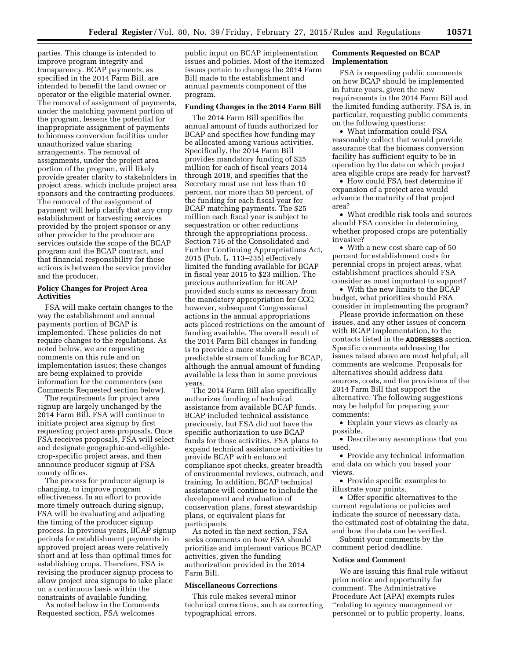parties. This change is intended to improve program integrity and transparency. BCAP payments, as specified in the 2014 Farm Bill, are intended to benefit the land owner or operator or the eligible material owner. The removal of assignment of payments, under the matching payment portion of the program, lessens the potential for inappropriate assignment of payments to biomass conversion facilities under unauthorized value sharing arrangements. The removal of assignments, under the project area portion of the program, will likely provide greater clarity to stakeholders in project areas, which include project area sponsors and the contracting producers. The removal of the assignment of payment will help clarify that any crop establishment or harvesting services provided by the project sponsor or any other provider to the producer are services outside the scope of the BCAP program and the BCAP contract, and that financial responsibility for those actions is between the service provider and the producer.

# **Policy Changes for Project Area Activities**

FSA will make certain changes to the way the establishment and annual payments portion of BCAP is implemented. These policies do not require changes to the regulations. As noted below, we are requesting comments on this rule and on implementation issues; these changes are being explained to provide information for the commenters (see Comments Requested section below).

The requirements for project area signup are largely unchanged by the 2014 Farm Bill. FSA will continue to initiate project area signup by first requesting project area proposals. Once FSA receives proposals, FSA will select and designate geographic-and-eligiblecrop-specific project areas, and then announce producer signup at FSA county offices.

The process for producer signup is changing, to improve program effectiveness. In an effort to provide more timely outreach during signup, FSA will be evaluating and adjusting the timing of the producer signup process. In previous years, BCAP signup periods for establishment payments in approved project areas were relatively short and at less than optimal times for establishing crops. Therefore, FSA is revising the producer signup process to allow project area signups to take place on a continuous basis within the constraints of available funding.

As noted below in the Comments Requested section, FSA welcomes

public input on BCAP implementation issues and policies. Most of the itemized issues pertain to changes the 2014 Farm Bill made to the establishment and annual payments component of the program.

#### **Funding Changes in the 2014 Farm Bill**

The 2014 Farm Bill specifies the annual amount of funds authorized for BCAP and specifies how funding may be allocated among various activities. Specifically, the 2014 Farm Bill provides mandatory funding of \$25 million for each of fiscal years 2014 through 2018, and specifies that the Secretary must use not less than 10 percent, nor more than 50 percent, of the funding for each fiscal year for BCAP matching payments. The \$25 million each fiscal year is subject to sequestration or other reductions through the appropriations process. Section 716 of the Consolidated and Further Continuing Appropriations Act, 2015 (Pub. L. 113–235) effectively limited the funding available for BCAP in fiscal year 2015 to \$23 million. The previous authorization for BCAP provided such sums as necessary from the mandatory appropriation for CCC; however, subsequent Congressional actions in the annual appropriations acts placed restrictions on the amount of funding available. The overall result of the 2014 Farm Bill changes in funding is to provide a more stable and predictable stream of funding for BCAP, although the annual amount of funding available is less than in some previous years.

The 2014 Farm Bill also specifically authorizes funding of technical assistance from available BCAP funds. BCAP included technical assistance previously, but FSA did not have the specific authorization to use BCAP funds for those activities. FSA plans to expand technical assistance activities to provide BCAP with enhanced compliance spot checks, greater breadth of environmental reviews, outreach, and training. In addition, BCAP technical assistance will continue to include the development and evaluation of conservation plans, forest stewardship plans, or equivalent plans for participants.

As noted in the next section, FSA seeks comments on how FSA should prioritize and implement various BCAP activities, given the funding authorization provided in the 2014 Farm Bill.

# **Miscellaneous Corrections**

This rule makes several minor technical corrections, such as correcting typographical errors.

# **Comments Requested on BCAP Implementation**

FSA is requesting public comments on how BCAP should be implemented in future years, given the new requirements in the 2014 Farm Bill and the limited funding authority. FSA is, in particular, requesting public comments on the following questions:

• What information could FSA reasonably collect that would provide assurance that the biomass conversion facility has sufficient equity to be in operation by the date on which project area eligible crops are ready for harvest?

• How could FSA best determine if expansion of a project area would advance the maturity of that project area?

• What credible risk tools and sources should FSA consider in determining whether proposed crops are potentially invasive?

• With a new cost share cap of 50 percent for establishment costs for perennial crops in project areas, what establishment practices should FSA consider as most important to support?

• With the new limits to the BCAP budget, what priorities should FSA consider in implementing the program?

Please provide information on these issues, and any other issues of concern with BCAP implementation, to the contacts listed in the **ADDRESSES** section. Specific comments addressing the issues raised above are most helpful; all comments are welcome. Proposals for alternatives should address data sources, costs, and the provisions of the 2014 Farm Bill that support the alternative. The following suggestions may be helpful for preparing your comments:

• Explain your views as clearly as possible.

• Describe any assumptions that you used.

• Provide any technical information and data on which you based your views.

• Provide specific examples to illustrate your points.

• Offer specific alternatives to the current regulations or policies and indicate the source of necessary data, the estimated cost of obtaining the data, and how the data can be verified.

Submit your comments by the comment period deadline.

### **Notice and Comment**

We are issuing this final rule without prior notice and opportunity for comment. The Administrative Procedure Act (APA) exempts rules ''relating to agency management or personnel or to public property, loans,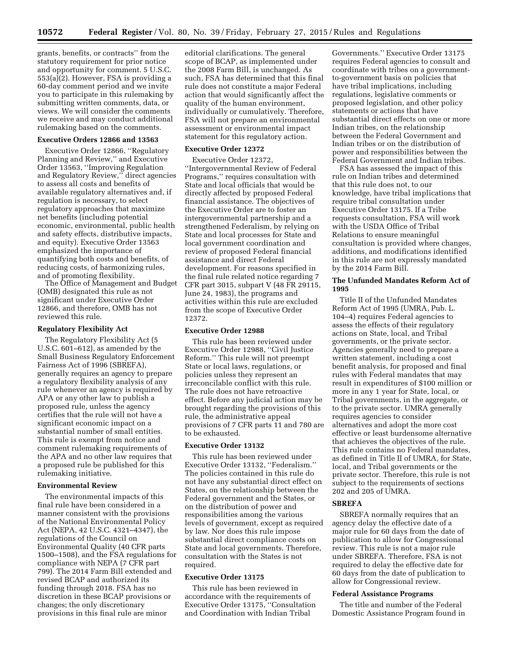grants, benefits, or contracts'' from the statutory requirement for prior notice and opportunity for comment. 5 U.S.C. 553(a)(2). However, FSA is providing a 60-day comment period and we invite you to participate in this rulemaking by submitting written comments, data, or views. We will consider the comments we receive and may conduct additional rulemaking based on the comments.

#### **Executive Orders 12866 and 13563**

Executive Order 12866, ''Regulatory Planning and Review,'' and Executive Order 13563, ''Improving Regulation and Regulatory Review,'' direct agencies to assess all costs and benefits of available regulatory alternatives and, if regulation is necessary, to select regulatory approaches that maximize net benefits (including potential economic, environmental, public health and safety effects, distributive impacts, and equity). Executive Order 13563 emphasized the importance of quantifying both costs and benefits, of reducing costs, of harmonizing rules, and of promoting flexibility.

The Office of Management and Budget (OMB) designated this rule as not significant under Executive Order 12866, and therefore, OMB has not reviewed this rule.

## **Regulatory Flexibility Act**

The Regulatory Flexibility Act (5 U.S.C. 601–612), as amended by the Small Business Regulatory Enforcement Fairness Act of 1996 (SBREFA), generally requires an agency to prepare a regulatory flexibility analysis of any rule whenever an agency is required by APA or any other law to publish a proposed rule, unless the agency certifies that the rule will not have a significant economic impact on a substantial number of small entities. This rule is exempt from notice and comment rulemaking requirements of the APA and no other law requires that a proposed rule be published for this rulemaking initiative.

## **Environmental Review**

The environmental impacts of this final rule have been considered in a manner consistent with the provisions of the National Environmental Policy Act (NEPA, 42 U.S.C. 4321–4347), the regulations of the Council on Environmental Quality (40 CFR parts 1500–1508), and the FSA regulations for compliance with NEPA (7 CFR part 799). The 2014 Farm Bill extended and revised BCAP and authorized its funding through 2018. FSA has no discretion in these BCAP provisions or changes; the only discretionary provisions in this final rule are minor

editorial clarifications. The general scope of BCAP, as implemented under the 2008 Farm Bill, is unchanged. As such, FSA has determined that this final rule does not constitute a major Federal action that would significantly affect the quality of the human environment, individually or cumulatively. Therefore, FSA will not prepare an environmental assessment or environmental impact statement for this regulatory action.

#### **Executive Order 12372**

Executive Order 12372,

''Intergovernmental Review of Federal Programs,'' requires consultation with State and local officials that would be directly affected by proposed Federal financial assistance. The objectives of the Executive Order are to foster an intergovernmental partnership and a strengthened Federalism, by relying on State and local processes for State and local government coordination and review of proposed Federal financial assistance and direct Federal development. For reasons specified in the final rule related notice regarding 7 CFR part 3015, subpart V (48 FR 29115, June 24, 1983), the programs and activities within this rule are excluded from the scope of Executive Order 12372.

## **Executive Order 12988**

This rule has been reviewed under Executive Order 12988, ''Civil Justice Reform.'' This rule will not preempt State or local laws, regulations, or policies unless they represent an irreconcilable conflict with this rule. The rule does not have retroactive effect. Before any judicial action may be brought regarding the provisions of this rule, the administrative appeal provisions of 7 CFR parts 11 and 780 are to be exhausted.

#### **Executive Order 13132**

This rule has been reviewed under Executive Order 13132, ''Federalism.'' The policies contained in this rule do not have any substantial direct effect on States, on the relationship between the Federal government and the States, or on the distribution of power and responsibilities among the various levels of government, except as required by law. Nor does this rule impose substantial direct compliance costs on State and local governments. Therefore, consultation with the States is not required.

## **Executive Order 13175**

This rule has been reviewed in accordance with the requirements of Executive Order 13175, ''Consultation and Coordination with Indian Tribal

Governments.'' Executive Order 13175 requires Federal agencies to consult and coordinate with tribes on a governmentto-government basis on policies that have tribal implications, including regulations, legislative comments or proposed legislation, and other policy statements or actions that have substantial direct effects on one or more Indian tribes, on the relationship between the Federal Government and Indian tribes or on the distribution of power and responsibilities between the Federal Government and Indian tribes.

FSA has assessed the impact of this rule on Indian tribes and determined that this rule does not, to our knowledge, have tribal implications that require tribal consultation under Executive Order 13175. If a Tribe requests consultation, FSA will work with the USDA Office of Tribal Relations to ensure meaningful consultation is provided where changes, additions, and modifications identified in this rule are not expressly mandated by the 2014 Farm Bill.

## **The Unfunded Mandates Reform Act of 1995**

Title II of the Unfunded Mandates Reform Act of 1995 (UMRA, Pub. L. 104–4) requires Federal agencies to assess the effects of their regulatory actions on State, local, and Tribal governments, or the private sector. Agencies generally need to prepare a written statement, including a cost benefit analysis, for proposed and final rules with Federal mandates that may result in expenditures of \$100 million or more in any 1 year for State, local, or Tribal governments, in the aggregate, or to the private sector. UMRA generally requires agencies to consider alternatives and adopt the more cost effective or least burdensome alternative that achieves the objectives of the rule. This rule contains no Federal mandates, as defined in Title II of UMRA, for State, local, and Tribal governments or the private sector. Therefore, this rule is not subject to the requirements of sections 202 and 205 of UMRA.

#### **SBREFA**

SBREFA normally requires that an agency delay the effective date of a major rule for 60 days from the date of publication to allow for Congressional review. This rule is not a major rule under SBREFA. Therefore, FSA is not required to delay the effective date for 60 days from the date of publication to allow for Congressional review.

## **Federal Assistance Programs**

The title and number of the Federal Domestic Assistance Program found in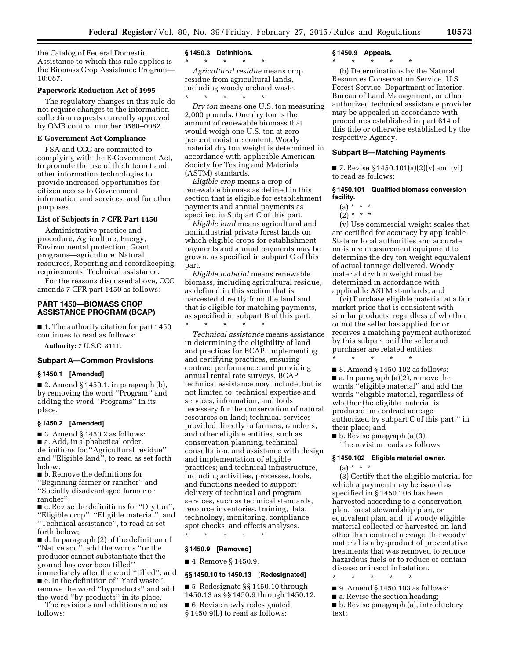the Catalog of Federal Domestic Assistance to which this rule applies is the Biomass Crop Assistance Program— 10:087.

## **Paperwork Reduction Act of 1995**

The regulatory changes in this rule do not require changes to the information collection requests currently approved by OMB control number 0560–0082.

# **E-Government Act Compliance**

FSA and CCC are committed to complying with the E-Government Act, to promote the use of the Internet and other information technologies to provide increased opportunities for citizen access to Government information and services, and for other purposes.

## **List of Subjects in 7 CFR Part 1450**

Administrative practice and procedure, Agriculture, Energy, Environmental protection, Grant programs—agriculture, Natural resources, Reporting and recordkeeping requirements, Technical assistance.

For the reasons discussed above, CCC amends 7 CFR part 1450 as follows:

# **PART 1450—BIOMASS CROP ASSISTANCE PROGRAM (BCAP)**

■ 1. The authority citation for part 1450 continues to read as follows:

**Authority:** 7 U.S.C. 8111.

# **Subpart A—Common Provisions**

# **§ 1450.1 [Amended]**

■ 2. Amend § 1450.1, in paragraph (b), by removing the word ''Program'' and adding the word ''Programs'' in its place.

#### **§ 1450.2 [Amended]**

 $\blacksquare$  3. Amend § 1450.2 as follows: ■ a. Add, in alphabetical order, definitions for ''Agricultural residue'' and ''Eligible land'', to read as set forth below;

■ b. Remove the definitions for

''Beginning farmer or rancher'' and ''Socially disadvantaged farmer or rancher'';

■ c. Revise the definitions for "Dry ton", ''Eligible crop'', ''Eligible material'', and ''Technical assistance'', to read as set forth below;

■ d. In paragraph (2) of the definition of ''Native sod'', add the words ''or the producer cannot substantiate that the ground has ever been tilled'' immediately after the word ''tilled''; and

■ e. In the definition of "Yard waste", remove the word ''byproducts'' and add the word ''by-products'' in its place.

The revisions and additions read as follows:

#### **§ 1450.3 Definitions.**

\* \* \* \* \*

*Agricultural residue* means crop residue from agricultural lands, including woody orchard waste. \* \* \* \* \*

*Dry ton* means one U.S. ton measuring 2,000 pounds. One dry ton is the amount of renewable biomass that would weigh one U.S. ton at zero percent moisture content. Woody material dry ton weight is determined in accordance with applicable American Society for Testing and Materials (ASTM) standards.

*Eligible crop* means a crop of renewable biomass as defined in this section that is eligible for establishment payments and annual payments as specified in Subpart C of this part.

*Eligible land* means agricultural and nonindustrial private forest lands on which eligible crops for establishment payments and annual payments may be grown, as specified in subpart C of this part.

*Eligible material* means renewable biomass, including agricultural residue, as defined in this section that is harvested directly from the land and that is eligible for matching payments, as specified in subpart B of this part.

\* \* \* \* \* *Technical assistance* means assistance in determining the eligibility of land and practices for BCAP, implementing and certifying practices, ensuring contract performance, and providing annual rental rate surveys. BCAP technical assistance may include, but is not limited to: technical expertise and services, information, and tools necessary for the conservation of natural resources on land; technical services provided directly to farmers, ranchers, and other eligible entities, such as conservation planning, technical consultation, and assistance with design and implementation of eligible practices; and technical infrastructure, including activities, processes, tools, and functions needed to support delivery of technical and program services, such as technical standards, resource inventories, training, data, technology, monitoring, compliance spot checks, and effects analyses.

\* \* \* \* \*

# **§ 1450.9 [Removed]**

# ■ 4. Remove § 1450.9.

#### **§§ 1450.10 to 1450.13 [Redesignated]**

■ 5. Redesignate §§ 1450.10 through 1450.13 as §§ 1450.9 through 1450.12.

- 6. Revise newly redesignated
- § 1450.9(b) to read as follows:

#### **§ 1450.9 Appeals.**

# \* \* \* \* \*

(b) Determinations by the Natural Resources Conservation Service, U.S. Forest Service, Department of Interior, Bureau of Land Management, or other authorized technical assistance provider may be appealed in accordance with procedures established in part 614 of this title or otherwise established by the respective Agency.

## **Subpart B—Matching Payments**

■ 7. Revise § 1450.101(a)(2)(v) and (vi) to read as follows:

## **§ 1450.101 Qualified biomass conversion facility.**

- $(a) * * * *$
- $(2) * * * *$

(v) Use commercial weight scales that are certified for accuracy by applicable State or local authorities and accurate moisture measurement equipment to determine the dry ton weight equivalent of actual tonnage delivered. Woody material dry ton weight must be determined in accordance with applicable ASTM standards; and

(vi) Purchase eligible material at a fair market price that is consistent with similar products, regardless of whether or not the seller has applied for or receives a matching payment authorized by this subpart or if the seller and purchaser are related entities.

■ 8. Amend § 1450.102 as follows:  $\blacksquare$  a. In paragraph (a)(2), remove the words ''eligible material'' and add the words ''eligible material, regardless of whether the eligible material is produced on contract acreage authorized by subpart C of this part,'' in their place; and

■ b. Revise paragraph (a)(3). The revision reads as follows:

\* \* \* \* \*

## **§ 1450.102 Eligible material owner.**

 $(a) * * * *$ 

(3) Certify that the eligible material for which a payment may be issued as specified in § 1450.106 has been harvested according to a conservation plan, forest stewardship plan, or equivalent plan, and, if woody eligible material collected or harvested on land other than contract acreage, the woody material is a by-product of preventative treatments that was removed to reduce hazardous fuels or to reduce or contain disease or insect infestation.

- \* \* \* \* \*
- 9. Amend § 1450.103 as follows:
- a. Revise the section heading;
- b. Revise paragraph (a), introductory text;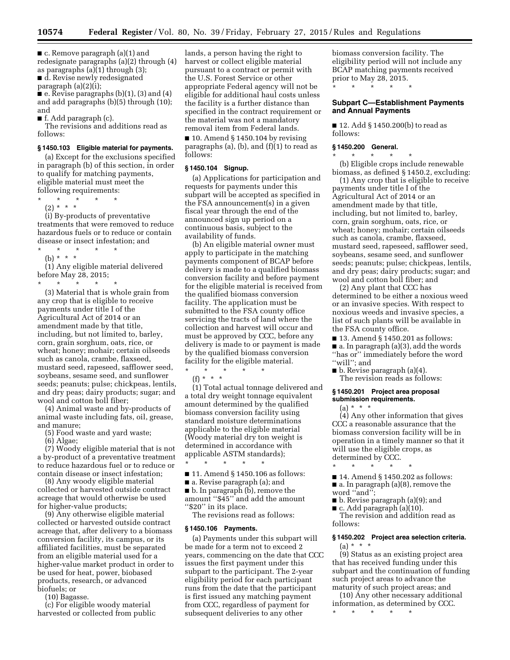■ c. Remove paragraph (a)(1) and redesignate paragraphs (a)(2) through (4) as paragraphs  $(a)(1)$  through  $(3)$ ; ■ d. Revise newly redesignated

paragraph (a)(2)(i);

■ e. Revise paragraphs (b)(1), (3) and (4) and add paragraphs (b)(5) through (10); and

■ f. Add paragraph (c).

The revisions and additions read as follows:

# **§ 1450.103 Eligible material for payments.**

(a) Except for the exclusions specified in paragraph (b) of this section, in order to qualify for matching payments, eligible material must meet the following requirements:

\* \* \* \* \*

(2) \* \* \* (i) By-products of preventative treatments that were removed to reduce hazardous fuels or to reduce or contain disease or insect infestation; and

\* \* \* \* \*

(b) \* \* \* (1) Any eligible material delivered before May 28, 2015;

\* \* \* \* \* (3) Material that is whole grain from any crop that is eligible to receive payments under title I of the

Agricultural Act of 2014 or an amendment made by that title, including, but not limited to, barley, corn, grain sorghum, oats, rice, or wheat; honey; mohair; certain oilseeds such as canola, crambe, flaxseed, mustard seed, rapeseed, safflower seed, soybeans, sesame seed, and sunflower seeds; peanuts; pulse; chickpeas, lentils, and dry peas; dairy products; sugar; and wool and cotton boll fiber;

(4) Animal waste and by-products of animal waste including fats, oil, grease, and manure;

(5) Food waste and yard waste;

(6) Algae;

(7) Woody eligible material that is not a by-product of a preventative treatment to reduce hazardous fuel or to reduce or contain disease or insect infestation;

(8) Any woody eligible material collected or harvested outside contract acreage that would otherwise be used for higher-value products;

(9) Any otherwise eligible material collected or harvested outside contract acreage that, after delivery to a biomass conversion facility, its campus, or its affiliated facilities, must be separated from an eligible material used for a higher-value market product in order to be used for heat, power, biobased products, research, or advanced biofuels; or

(10) Bagasse.

(c) For eligible woody material harvested or collected from public

lands, a person having the right to harvest or collect eligible material pursuant to a contract or permit with the U.S. Forest Service or other appropriate Federal agency will not be eligible for additional haul costs unless the facility is a further distance than specified in the contract requirement or the material was not a mandatory removal item from Federal lands.

 $\blacksquare$  10. Amend § 1450.104 by revising paragraphs (a), (b), and (f)(1) to read as follows:

## **§ 1450.104 Signup.**

(a) Applications for participation and requests for payments under this subpart will be accepted as specified in the FSA announcement(s) in a given fiscal year through the end of the announced sign up period on a continuous basis, subject to the availability of funds.

(b) An eligible material owner must apply to participate in the matching payments component of BCAP before delivery is made to a qualified biomass conversion facility and before payment for the eligible material is received from the qualified biomass conversion facility. The application must be submitted to the FSA county office servicing the tracts of land where the collection and harvest will occur and must be approved by CCC, before any delivery is made to or payment is made by the qualified biomass conversion facility for the eligible material. \* \* \* \* \*

(f) \* \* \*

(1) Total actual tonnage delivered and a total dry weight tonnage equivalent amount determined by the qualified biomass conversion facility using standard moisture determinations applicable to the eligible material (Woody material dry ton weight is determined in accordance with applicable ASTM standards);

- \* \* \* \* \*
- 11. Amend § 1450.106 as follows:
- a. Revise paragraph (a); and

■ b. In paragraph (b), remove the amount ''\$45'' and add the amount "\$20" in its place.

The revisions read as follows:

#### **§ 1450.106 Payments.**

(a) Payments under this subpart will be made for a term not to exceed 2 years, commencing on the date that CCC issues the first payment under this subpart to the participant. The 2-year eligibility period for each participant runs from the date that the participant is first issued any matching payment from CCC, regardless of payment for subsequent deliveries to any other

biomass conversion facility. The eligibility period will not include any BCAP matching payments received prior to May 28, 2015.

\* \* \* \* \*

# **Subpart C—Establishment Payments and Annual Payments**

■ 12. Add § 1450.200(b) to read as follows:

## **§ 1450.200 General.**

\* \* \* \* \* (b) Eligible crops include renewable biomass, as defined § 1450.2, excluding:

(1) Any crop that is eligible to receive payments under title I of the Agricultural Act of 2014 or an amendment made by that title, including, but not limited to, barley, corn, grain sorghum, oats, rice, or wheat; honey; mohair; certain oilseeds such as canola, crambe, flaxseed, mustard seed, rapeseed, safflower seed, soybeans, sesame seed, and sunflower seeds; peanuts; pulse; chickpeas, lentils, and dry peas; dairy products; sugar; and wool and cotton boll fiber; and

(2) Any plant that CCC has determined to be either a noxious weed or an invasive species. With respect to noxious weeds and invasive species, a list of such plants will be available in the FSA county office.

■ 13. Amend § 1450.201 as follows: ■ a. In paragraph (a)(3), add the words ''has or'' immediately before the word ''will''; and

■ b. Revise paragraph (a)(4). The revision reads as follows:

# **§ 1450.201 Project area proposal submission requirements.**

 $(a) * * * *$ (4) Any other information that gives CCC a reasonable assurance that the biomass conversion facility will be in operation in a timely manner so that it will use the eligible crops, as determined by CCC.

- \* \* \* \* \*
- 14. Amend § 1450.202 as follows: ■ a. In paragraph (a)(8), remove the
- word "and":
- b. Revise paragraph (a)(9); and

 $\blacksquare$  c. Add paragraph (a)(10). The revision and addition read as follows:

# **§ 1450.202 Project area selection criteria.**   $(a) * * * *$

(9) Status as an existing project area that has received funding under this subpart and the continuation of funding such project areas to advance the maturity of such project areas; and

(10) Any other necessary additional information, as determined by CCC. \* \* \* \* \*